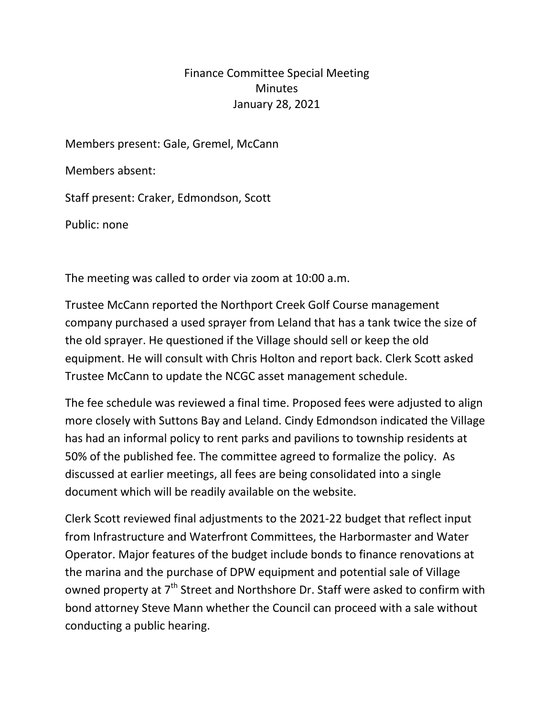## Finance Committee Special Meeting **Minutes** January 28, 2021

Members present: Gale, Gremel, McCann

Members absent:

Staff present: Craker, Edmondson, Scott

Public: none

The meeting was called to order via zoom at 10:00 a.m.

Trustee McCann reported the Northport Creek Golf Course management company purchased a used sprayer from Leland that has a tank twice the size of the old sprayer. He questioned if the Village should sell or keep the old equipment. He will consult with Chris Holton and report back. Clerk Scott asked Trustee McCann to update the NCGC asset management schedule.

The fee schedule was reviewed a final time. Proposed fees were adjusted to align more closely with Suttons Bay and Leland. Cindy Edmondson indicated the Village has had an informal policy to rent parks and pavilions to township residents at 50% of the published fee. The committee agreed to formalize the policy. As discussed at earlier meetings, all fees are being consolidated into a single document which will be readily available on the website.

Clerk Scott reviewed final adjustments to the 2021-22 budget that reflect input from Infrastructure and Waterfront Committees, the Harbormaster and Water Operator. Major features of the budget include bonds to finance renovations at the marina and the purchase of DPW equipment and potential sale of Village owned property at 7<sup>th</sup> Street and Northshore Dr. Staff were asked to confirm with bond attorney Steve Mann whether the Council can proceed with a sale without conducting a public hearing.